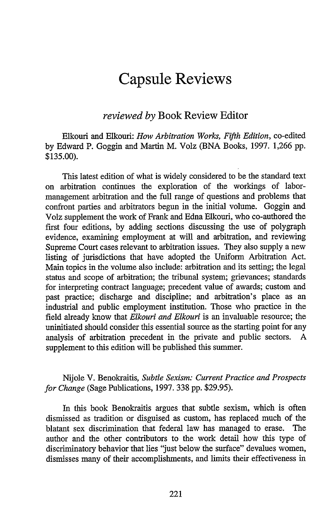## **Capsule Reviews**

## *reviewed by* Book Review Editor

Elkouri and Elkouri: *How Arbitration Works, Fifth Edition,* co-edited by Edward P. Goggin and Martin M. Volz (BNA Books, 1997. 1,266 pp. \$135.00).

This latest edition of what is widely considered to be the standard text on arbitration continues the exploration of the workings of labormanagement arbitration and the full range of questions and problems that confront parties and arbitrators begun in the initial volume. Goggin and Volz supplement the work of Frank and Edna Elkouri, who co-authored the first four editions, by adding sections discussing the use of polygraph evidence, examining employment at will and arbitration, and reviewing Supreme Court cases relevant to arbitration issues. They also supply a new listing of jurisdictions that have adopted the Uniform Arbitration Act. Main topics in the volume also include: arbitration and its setting; the legal status and scope of arbitration; the tribunal system; grievances; standards for interpreting contract language; precedent value of awards; custom and past practice; discharge and discipline; and arbitration's place as an industrial and public employment institution. Those who practice in the field already know that *Elkouri and Elkouri* is an invaluable resource; the uninitiated should consider this essential source as the starting point for any analysis of arbitration precedent in the private and public sectors. A supplement to this edition will be published this summer.

## Nijole V. Benokraitis, *Subtle Sexism: Current Practice and Prospects for Change* (Sage Publications, 1997. 338 pp. \$29.95).

In this book Benokraitis argues that subtle sexism, which is often dismissed as tradition or disguised as custom, has replaced much of the blatant sex discrimination that federal law has managed to erase. The author and the other contributors to the work detail how this type of discriminatory behavior that lies "just below the surface" devalues women, dismisses many of their accomplishments, and limits their effectiveness in